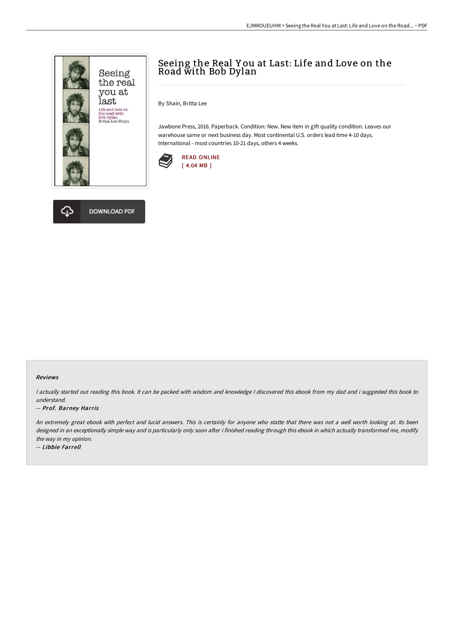

## Seeing the Real Y ou at Last: Life and Love on the Road with Bob Dylan

By Shain, Britta Lee

Jawbone Press, 2016. Paperback. Condition: New. New item in gift quality condition. Leaves our warehouse same or next business day. Most continental U.S. orders lead time 4-10 days. International - most countries 10-21 days, others 4 weeks.





## Reviews

<sup>I</sup> actually started out reading this book. It can be packed with wisdom and knowledge <sup>I</sup> discovered this ebook from my dad and i suggested this book to understand.

## -- Prof. Barney Harris

An extremely great ebook with perfect and lucid answers. This is certainly for anyone who statte that there was not a well worth looking at. Its been designed in an exceptionally simple way and is particularly only soon after i finished reading through this ebook in which actually transformed me, modify the way in my opinion.

-- Libbie Farrell